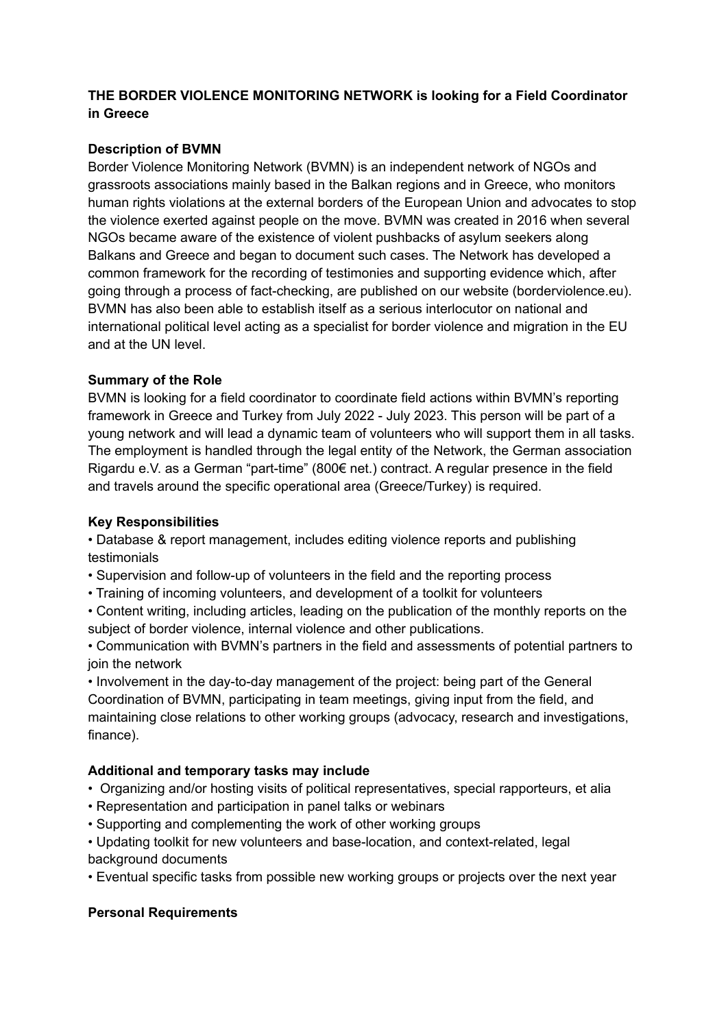## **THE BORDER VIOLENCE MONITORING NETWORK is looking for a Field Coordinator in Greece**

# **Description of BVMN**

Border Violence Monitoring Network (BVMN) is an independent network of NGOs and grassroots associations mainly based in the Balkan regions and in Greece, who monitors human rights violations at the external borders of the European Union and advocates to stop the violence exerted against people on the move. BVMN was created in 2016 when several NGOs became aware of the existence of violent pushbacks of asylum seekers along Balkans and Greece and began to document such cases. The Network has developed a common framework for the recording of testimonies and supporting evidence which, after going through a process of fact-checking, are published on our website (borderviolence.eu). BVMN has also been able to establish itself as a serious interlocutor on national and international political level acting as a specialist for border violence and migration in the EU and at the UN level.

## **Summary of the Role**

BVMN is looking for a field coordinator to coordinate field actions within BVMN's reporting framework in Greece and Turkey from July 2022 - July 2023. This person will be part of a young network and will lead a dynamic team of volunteers who will support them in all tasks. The employment is handled through the legal entity of the Network, the German association Rigardu e.V. as a German "part-time" (800€ net.) contract. A regular presence in the field and travels around the specific operational area (Greece/Turkey) is required.

## **Key Responsibilities**

• Database & report management, includes editing violence reports and publishing testimonials

- Supervision and follow-up of volunteers in the field and the reporting process
- Training of incoming volunteers, and development of a toolkit for volunteers
- Content writing, including articles, leading on the publication of the monthly reports on the subject of border violence, internal violence and other publications.

• Communication with BVMN's partners in the field and assessments of potential partners to join the network

• Involvement in the day-to-day management of the project: being part of the General Coordination of BVMN, participating in team meetings, giving input from the field, and maintaining close relations to other working groups (advocacy, research and investigations, finance).

## **Additional and temporary tasks may include**

- Organizing and/or hosting visits of political representatives, special rapporteurs, et alia
- Representation and participation in panel talks or webinars
- Supporting and complementing the work of other working groups

• Updating toolkit for new volunteers and base-location, and context-related, legal background documents

• Eventual specific tasks from possible new working groups or projects over the next year

## **Personal Requirements**